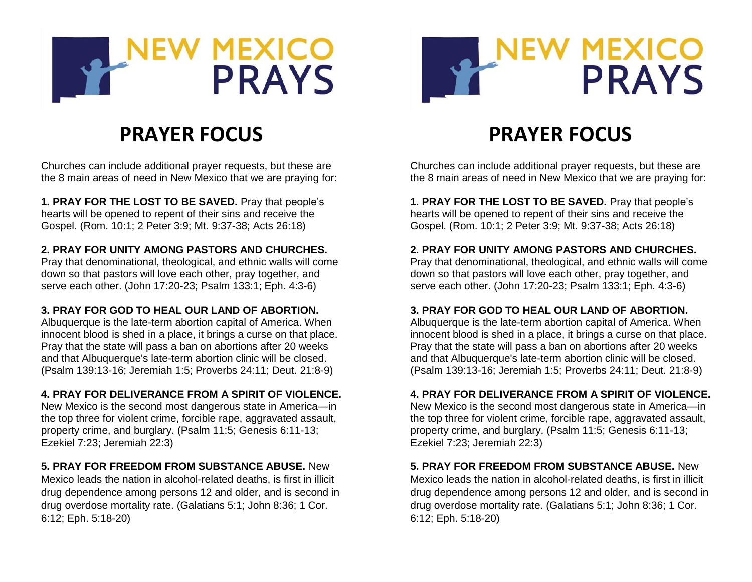



# **PRAYER FOCUS**

Churches can include additional prayer requests, but these are the 8 main areas of need in New Mexico that we are praying for:

**1. PRAY FOR THE LOST TO BE SAVED.** Pray that people's hearts will be opened to repent of their sins and receive the Gospel. (Rom. 10:1; 2 Peter 3:9; Mt. 9:37-38; Acts 26:18)

## **2. PRAY FOR UNITY AMONG PASTORS AND CHURCHES.**

Pray that denominational, theological, and ethnic walls will come down so that pastors will love each other, pray together, and serve each other. (John 17:20-23; Psalm 133:1; Eph. 4:3-6)

#### **3. PRAY FOR GOD TO HEAL OUR LAND OF ABORTION.**

Albuquerque is the late-term abortion capital of America. When innocent blood is shed in a place, it brings a curse on that place. Pray that the state will pass a ban on abortions after 20 weeks and that Albuquerque's late-term abortion clinic will be closed. (Psalm 139:13-16; Jeremiah 1:5; Proverbs 24:11; Deut. 21:8-9)

#### **4. PRAY FOR DELIVERANCE FROM A SPIRIT OF VIOLENCE.**

New Mexico is the second most dangerous state in America—in the top three for violent crime, forcible rape, aggravated assault, property crime, and burglary. (Psalm 11:5; Genesis 6:11-13; Ezekiel 7:23; Jeremiah 22:3)

#### **5. PRAY FOR FREEDOM FROM SUBSTANCE ABUSE.** New

Mexico leads the nation in alcohol-related deaths, is first in illicit drug dependence among persons 12 and older, and is second in drug overdose mortality rate. (Galatians 5:1; John 8:36; 1 Cor. 6:12; Eph. 5:18-20)

# **PRAYER FOCUS**

Churches can include additional prayer requests, but these are the 8 main areas of need in New Mexico that we are praying for:

**1. PRAY FOR THE LOST TO BE SAVED.** Pray that people's hearts will be opened to repent of their sins and receive the Gospel. (Rom. 10:1; 2 Peter 3:9; Mt. 9:37-38; Acts 26:18)

#### **2. PRAY FOR UNITY AMONG PASTORS AND CHURCHES.**

Pray that denominational, theological, and ethnic walls will come down so that pastors will love each other, pray together, and serve each other. (John 17:20-23; Psalm 133:1; Eph. 4:3-6)

#### **3. PRAY FOR GOD TO HEAL OUR LAND OF ABORTION.**

Albuquerque is the late-term abortion capital of America. When innocent blood is shed in a place, it brings a curse on that place. Pray that the state will pass a ban on abortions after 20 weeks and that Albuquerque's late-term abortion clinic will be closed. (Psalm 139:13-16; Jeremiah 1:5; Proverbs 24:11; Deut. 21:8-9)

#### **4. PRAY FOR DELIVERANCE FROM A SPIRIT OF VIOLENCE.**

New Mexico is the second most dangerous state in America—in the top three for violent crime, forcible rape, aggravated assault, property crime, and burglary. (Psalm 11:5; Genesis 6:11-13; Ezekiel 7:23; Jeremiah 22:3)

#### **5. PRAY FOR FREEDOM FROM SUBSTANCE ABUSE.** New

Mexico leads the nation in alcohol-related deaths, is first in illicit drug dependence among persons 12 and older, and is second in drug overdose mortality rate. (Galatians 5:1; John 8:36; 1 Cor. 6:12; Eph. 5:18-20)